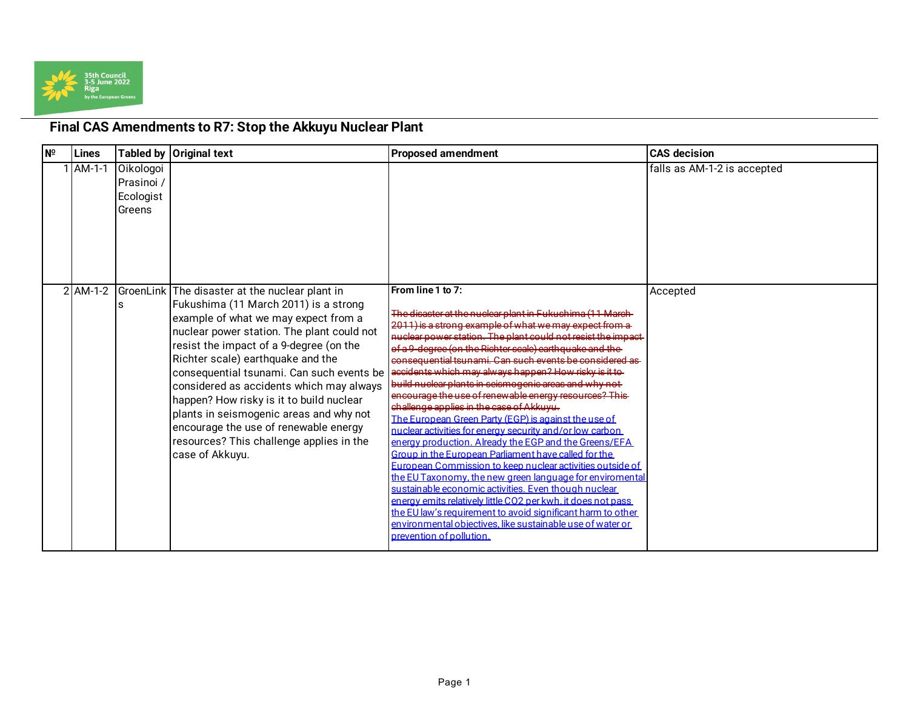

## **Final CAS Amendments to R7: Stop the Akkuyu Nuclear Plant**

| $N^{\circ}$ | Lines      |                                                | Tabled by Original text                                                                                                                                                                                                                                                                                                                                                                                                                                                                                                                               | <b>Proposed amendment</b>                                                                                                                                                                                                                                                                                                                                                                                                                                                                                                                                                                                                                                                                                                                                                                                                                                                                                                                                                                                                                                                                                                                                                                              | <b>CAS decision</b>         |
|-------------|------------|------------------------------------------------|-------------------------------------------------------------------------------------------------------------------------------------------------------------------------------------------------------------------------------------------------------------------------------------------------------------------------------------------------------------------------------------------------------------------------------------------------------------------------------------------------------------------------------------------------------|--------------------------------------------------------------------------------------------------------------------------------------------------------------------------------------------------------------------------------------------------------------------------------------------------------------------------------------------------------------------------------------------------------------------------------------------------------------------------------------------------------------------------------------------------------------------------------------------------------------------------------------------------------------------------------------------------------------------------------------------------------------------------------------------------------------------------------------------------------------------------------------------------------------------------------------------------------------------------------------------------------------------------------------------------------------------------------------------------------------------------------------------------------------------------------------------------------|-----------------------------|
|             | AM-1-1     | Oikologoi<br>Prasinoi /<br>Ecologist<br>Greens |                                                                                                                                                                                                                                                                                                                                                                                                                                                                                                                                                       |                                                                                                                                                                                                                                                                                                                                                                                                                                                                                                                                                                                                                                                                                                                                                                                                                                                                                                                                                                                                                                                                                                                                                                                                        | falls as AM-1-2 is accepted |
|             | $2$ AM-1-2 |                                                | GroenLink The disaster at the nuclear plant in<br>Fukushima (11 March 2011) is a strong<br>example of what we may expect from a<br>nuclear power station. The plant could not<br>resist the impact of a 9-degree (on the<br>Richter scale) earthquake and the<br>consequential tsunami. Can such events be<br>considered as accidents which may always<br>happen? How risky is it to build nuclear<br>plants in seismogenic areas and why not<br>encourage the use of renewable energy<br>resources? This challenge applies in the<br>case of Akkuyu. | From line 1 to 7:<br>The disaster at the nuclear plant in Fukushima (11 March-<br>2011) is a strong example of what we may expect from a<br>nuclear power station. The plant could not resist the impact<br>of a 9-degree (on the Richter scale) earthquake and the<br>consequential teunami. Can such events be considered as<br>accidents which may always happen? How risky is it to-<br>build nuclear plants in seismogenic areas and why not-<br>encourage the use of renewable energy resources? This<br>challenge applies in the case of Akkuvu.<br>The European Green Party (EGP) is against the use of<br>nuclear activities for energy security and/or low carbon<br>energy production. Already the EGP and the Greens/EFA<br>Group in the European Parliament have called for the<br>European Commission to keep nuclear activities outside of<br>the EU Taxonomy, the new green language for enviromental<br>sustainable economic activities. Even though nuclear<br>energy emits relatively little CO2 per kwh. it does not pass<br>the EU law's requirement to avoid significant harm to other<br>environmental objectives, like sustainable use of water or<br>prevention of pollution. | Accepted                    |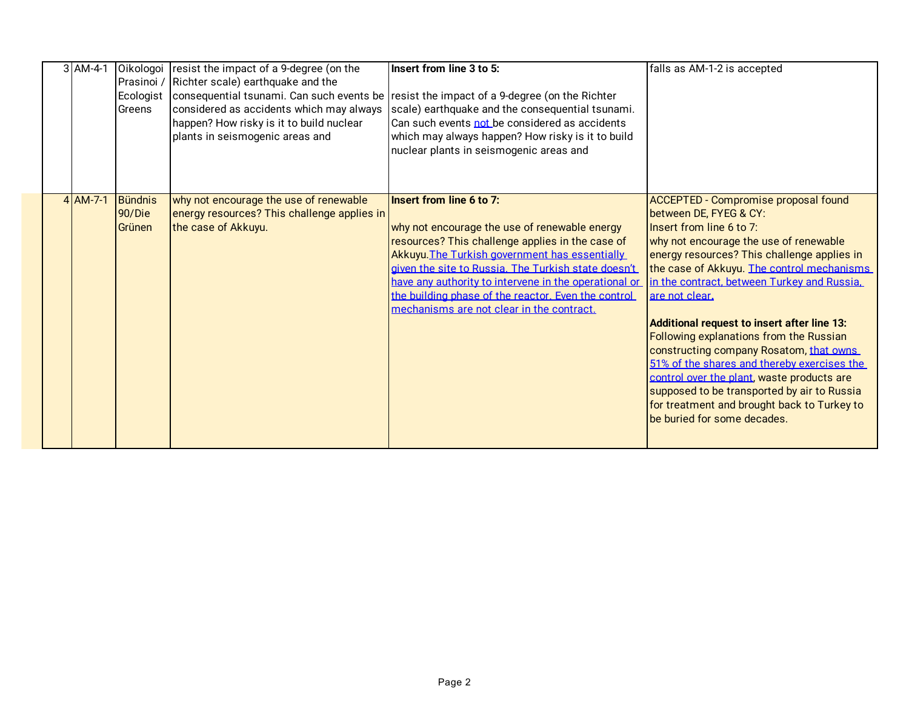|  | 3 AM-4-1   | Prasinoi /<br>Ecologist<br>Greens | Oikologoi   resist the impact of a 9-degree (on the<br>Richter scale) earthquake and the<br>considered as accidents which may always<br>happen? How risky is it to build nuclear<br>plants in seismogenic areas and | Insert from line 3 to 5:<br>consequential tsunami. Can such events be resist the impact of a 9-degree (on the Richter<br>scale) earthquake and the consequential tsunami.<br>Can such events not be considered as accidents<br>which may always happen? How risky is it to build<br>nuclear plants in seismogenic areas and                                                                         | falls as AM-1-2 is accepted                                                                                                                                                                                                                                                                                                                                                                                                                                                                                                                                                                                                                                       |
|--|------------|-----------------------------------|---------------------------------------------------------------------------------------------------------------------------------------------------------------------------------------------------------------------|-----------------------------------------------------------------------------------------------------------------------------------------------------------------------------------------------------------------------------------------------------------------------------------------------------------------------------------------------------------------------------------------------------|-------------------------------------------------------------------------------------------------------------------------------------------------------------------------------------------------------------------------------------------------------------------------------------------------------------------------------------------------------------------------------------------------------------------------------------------------------------------------------------------------------------------------------------------------------------------------------------------------------------------------------------------------------------------|
|  | $4$ AM-7-1 | Bündnis<br>90/Die<br>Grünen       | why not encourage the use of renewable<br>energy resources? This challenge applies in<br>the case of Akkuyu.                                                                                                        | Insert from line 6 to 7:<br>why not encourage the use of renewable energy<br>resources? This challenge applies in the case of<br>Akkuyu. The Turkish government has essentially<br>given the site to Russia. The Turkish state doesn't<br>have any authority to intervene in the operational or<br>the building phase of the reactor. Even the control<br>mechanisms are not clear in the contract. | ACCEPTED - Compromise proposal found<br>between DE, FYEG & CY:<br>Insert from line 6 to 7:<br>why not encourage the use of renewable<br>energy resources? This challenge applies in<br>the case of Akkuyu. The control mechanisms<br>in the contract, between Turkey and Russia.<br>are not clear.<br>Additional request to insert after line 13:<br>Following explanations from the Russian<br>constructing company Rosatom, that owns<br>51% of the shares and thereby exercises the<br>control over the plant, waste products are<br>supposed to be transported by air to Russia<br>for treatment and brought back to Turkey to<br>be buried for some decades. |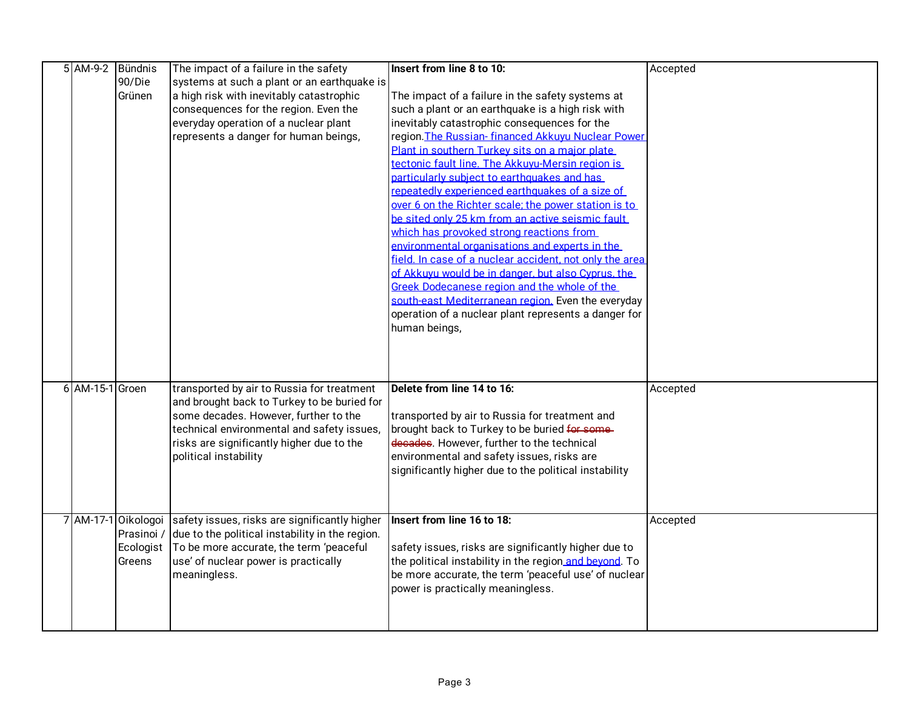|                 | Bündnis             | The impact of a failure in the safety                                                                                                                                                                                                                                                                                                                                                                                                                                                        | Insert from line 8 to 10:                                                                                                                                                                                                                                                                                                                                                                                                                                                                                                                                                                                                                                                                                                                                            | Accepted             |
|-----------------|---------------------|----------------------------------------------------------------------------------------------------------------------------------------------------------------------------------------------------------------------------------------------------------------------------------------------------------------------------------------------------------------------------------------------------------------------------------------------------------------------------------------------|----------------------------------------------------------------------------------------------------------------------------------------------------------------------------------------------------------------------------------------------------------------------------------------------------------------------------------------------------------------------------------------------------------------------------------------------------------------------------------------------------------------------------------------------------------------------------------------------------------------------------------------------------------------------------------------------------------------------------------------------------------------------|----------------------|
|                 | 90/Die              | systems at such a plant or an earthquake is                                                                                                                                                                                                                                                                                                                                                                                                                                                  |                                                                                                                                                                                                                                                                                                                                                                                                                                                                                                                                                                                                                                                                                                                                                                      |                      |
|                 | Grünen              | a high risk with inevitably catastrophic                                                                                                                                                                                                                                                                                                                                                                                                                                                     | The impact of a failure in the safety systems at                                                                                                                                                                                                                                                                                                                                                                                                                                                                                                                                                                                                                                                                                                                     |                      |
|                 |                     | consequences for the region. Even the                                                                                                                                                                                                                                                                                                                                                                                                                                                        | such a plant or an earthquake is a high risk with                                                                                                                                                                                                                                                                                                                                                                                                                                                                                                                                                                                                                                                                                                                    |                      |
|                 |                     | everyday operation of a nuclear plant                                                                                                                                                                                                                                                                                                                                                                                                                                                        | inevitably catastrophic consequences for the                                                                                                                                                                                                                                                                                                                                                                                                                                                                                                                                                                                                                                                                                                                         |                      |
|                 |                     | represents a danger for human beings,                                                                                                                                                                                                                                                                                                                                                                                                                                                        | region. The Russian-financed Akkuyu Nuclear Power                                                                                                                                                                                                                                                                                                                                                                                                                                                                                                                                                                                                                                                                                                                    |                      |
|                 |                     |                                                                                                                                                                                                                                                                                                                                                                                                                                                                                              | Plant in southern Turkey sits on a maior plate                                                                                                                                                                                                                                                                                                                                                                                                                                                                                                                                                                                                                                                                                                                       |                      |
|                 |                     |                                                                                                                                                                                                                                                                                                                                                                                                                                                                                              | tectonic fault line. The Akkuvu-Mersin region is                                                                                                                                                                                                                                                                                                                                                                                                                                                                                                                                                                                                                                                                                                                     |                      |
|                 |                     |                                                                                                                                                                                                                                                                                                                                                                                                                                                                                              | particularly subject to earthquakes and has                                                                                                                                                                                                                                                                                                                                                                                                                                                                                                                                                                                                                                                                                                                          |                      |
|                 |                     |                                                                                                                                                                                                                                                                                                                                                                                                                                                                                              | repeatedly experienced earthquakes of a size of                                                                                                                                                                                                                                                                                                                                                                                                                                                                                                                                                                                                                                                                                                                      |                      |
|                 |                     |                                                                                                                                                                                                                                                                                                                                                                                                                                                                                              | over 6 on the Richter scale; the power station is to                                                                                                                                                                                                                                                                                                                                                                                                                                                                                                                                                                                                                                                                                                                 |                      |
|                 |                     |                                                                                                                                                                                                                                                                                                                                                                                                                                                                                              | be sited only 25 km from an active seismic fault                                                                                                                                                                                                                                                                                                                                                                                                                                                                                                                                                                                                                                                                                                                     |                      |
|                 |                     |                                                                                                                                                                                                                                                                                                                                                                                                                                                                                              | which has provoked strong reactions from                                                                                                                                                                                                                                                                                                                                                                                                                                                                                                                                                                                                                                                                                                                             |                      |
|                 |                     |                                                                                                                                                                                                                                                                                                                                                                                                                                                                                              | environmental organisations and experts in the                                                                                                                                                                                                                                                                                                                                                                                                                                                                                                                                                                                                                                                                                                                       |                      |
|                 |                     |                                                                                                                                                                                                                                                                                                                                                                                                                                                                                              | field. In case of a nuclear accident, not only the area                                                                                                                                                                                                                                                                                                                                                                                                                                                                                                                                                                                                                                                                                                              |                      |
|                 |                     |                                                                                                                                                                                                                                                                                                                                                                                                                                                                                              |                                                                                                                                                                                                                                                                                                                                                                                                                                                                                                                                                                                                                                                                                                                                                                      |                      |
|                 |                     |                                                                                                                                                                                                                                                                                                                                                                                                                                                                                              |                                                                                                                                                                                                                                                                                                                                                                                                                                                                                                                                                                                                                                                                                                                                                                      |                      |
|                 |                     |                                                                                                                                                                                                                                                                                                                                                                                                                                                                                              |                                                                                                                                                                                                                                                                                                                                                                                                                                                                                                                                                                                                                                                                                                                                                                      |                      |
|                 |                     |                                                                                                                                                                                                                                                                                                                                                                                                                                                                                              |                                                                                                                                                                                                                                                                                                                                                                                                                                                                                                                                                                                                                                                                                                                                                                      |                      |
|                 |                     |                                                                                                                                                                                                                                                                                                                                                                                                                                                                                              |                                                                                                                                                                                                                                                                                                                                                                                                                                                                                                                                                                                                                                                                                                                                                                      |                      |
|                 |                     |                                                                                                                                                                                                                                                                                                                                                                                                                                                                                              |                                                                                                                                                                                                                                                                                                                                                                                                                                                                                                                                                                                                                                                                                                                                                                      |                      |
|                 |                     |                                                                                                                                                                                                                                                                                                                                                                                                                                                                                              |                                                                                                                                                                                                                                                                                                                                                                                                                                                                                                                                                                                                                                                                                                                                                                      |                      |
|                 |                     |                                                                                                                                                                                                                                                                                                                                                                                                                                                                                              |                                                                                                                                                                                                                                                                                                                                                                                                                                                                                                                                                                                                                                                                                                                                                                      |                      |
|                 |                     |                                                                                                                                                                                                                                                                                                                                                                                                                                                                                              |                                                                                                                                                                                                                                                                                                                                                                                                                                                                                                                                                                                                                                                                                                                                                                      |                      |
|                 |                     |                                                                                                                                                                                                                                                                                                                                                                                                                                                                                              |                                                                                                                                                                                                                                                                                                                                                                                                                                                                                                                                                                                                                                                                                                                                                                      |                      |
|                 |                     |                                                                                                                                                                                                                                                                                                                                                                                                                                                                                              |                                                                                                                                                                                                                                                                                                                                                                                                                                                                                                                                                                                                                                                                                                                                                                      |                      |
|                 |                     |                                                                                                                                                                                                                                                                                                                                                                                                                                                                                              |                                                                                                                                                                                                                                                                                                                                                                                                                                                                                                                                                                                                                                                                                                                                                                      |                      |
|                 |                     |                                                                                                                                                                                                                                                                                                                                                                                                                                                                                              |                                                                                                                                                                                                                                                                                                                                                                                                                                                                                                                                                                                                                                                                                                                                                                      |                      |
|                 |                     |                                                                                                                                                                                                                                                                                                                                                                                                                                                                                              |                                                                                                                                                                                                                                                                                                                                                                                                                                                                                                                                                                                                                                                                                                                                                                      |                      |
|                 |                     |                                                                                                                                                                                                                                                                                                                                                                                                                                                                                              |                                                                                                                                                                                                                                                                                                                                                                                                                                                                                                                                                                                                                                                                                                                                                                      |                      |
|                 |                     |                                                                                                                                                                                                                                                                                                                                                                                                                                                                                              |                                                                                                                                                                                                                                                                                                                                                                                                                                                                                                                                                                                                                                                                                                                                                                      |                      |
|                 |                     |                                                                                                                                                                                                                                                                                                                                                                                                                                                                                              |                                                                                                                                                                                                                                                                                                                                                                                                                                                                                                                                                                                                                                                                                                                                                                      |                      |
|                 |                     |                                                                                                                                                                                                                                                                                                                                                                                                                                                                                              |                                                                                                                                                                                                                                                                                                                                                                                                                                                                                                                                                                                                                                                                                                                                                                      |                      |
|                 |                     |                                                                                                                                                                                                                                                                                                                                                                                                                                                                                              |                                                                                                                                                                                                                                                                                                                                                                                                                                                                                                                                                                                                                                                                                                                                                                      |                      |
|                 |                     |                                                                                                                                                                                                                                                                                                                                                                                                                                                                                              |                                                                                                                                                                                                                                                                                                                                                                                                                                                                                                                                                                                                                                                                                                                                                                      |                      |
|                 |                     |                                                                                                                                                                                                                                                                                                                                                                                                                                                                                              |                                                                                                                                                                                                                                                                                                                                                                                                                                                                                                                                                                                                                                                                                                                                                                      |                      |
|                 |                     |                                                                                                                                                                                                                                                                                                                                                                                                                                                                                              |                                                                                                                                                                                                                                                                                                                                                                                                                                                                                                                                                                                                                                                                                                                                                                      |                      |
|                 |                     |                                                                                                                                                                                                                                                                                                                                                                                                                                                                                              |                                                                                                                                                                                                                                                                                                                                                                                                                                                                                                                                                                                                                                                                                                                                                                      |                      |
|                 |                     |                                                                                                                                                                                                                                                                                                                                                                                                                                                                                              |                                                                                                                                                                                                                                                                                                                                                                                                                                                                                                                                                                                                                                                                                                                                                                      |                      |
|                 |                     |                                                                                                                                                                                                                                                                                                                                                                                                                                                                                              |                                                                                                                                                                                                                                                                                                                                                                                                                                                                                                                                                                                                                                                                                                                                                                      |                      |
|                 |                     |                                                                                                                                                                                                                                                                                                                                                                                                                                                                                              |                                                                                                                                                                                                                                                                                                                                                                                                                                                                                                                                                                                                                                                                                                                                                                      |                      |
| 6 AM-15-1 Groen | Ecologist<br>Greens | transported by air to Russia for treatment<br>and brought back to Turkey to be buried for<br>some decades. However, further to the<br>technical environmental and safety issues,<br>risks are significantly higher due to the<br>political instability<br>7 AM-17-1 Oikologoi safety issues, risks are significantly higher<br>Prasinoi / due to the political instability in the region.<br>To be more accurate, the term 'peaceful<br>use' of nuclear power is practically<br>meaningless. | of Akkuvu would be in danger, but also Cyprus, the<br>Greek Dodecanese region and the whole of the<br>south-east Mediterranean region. Even the everyday<br>operation of a nuclear plant represents a danger for<br>human beings,<br>Delete from line 14 to 16:<br>transported by air to Russia for treatment and<br>brought back to Turkey to be buried for some-<br>decades. However, further to the technical<br>environmental and safety issues, risks are<br>significantly higher due to the political instability<br>Insert from line 16 to 18:<br>safety issues, risks are significantly higher due to<br>the political instability in the region and beyond. To<br>be more accurate, the term 'peaceful use' of nuclear<br>power is practically meaningless. | Accepted<br>Accepted |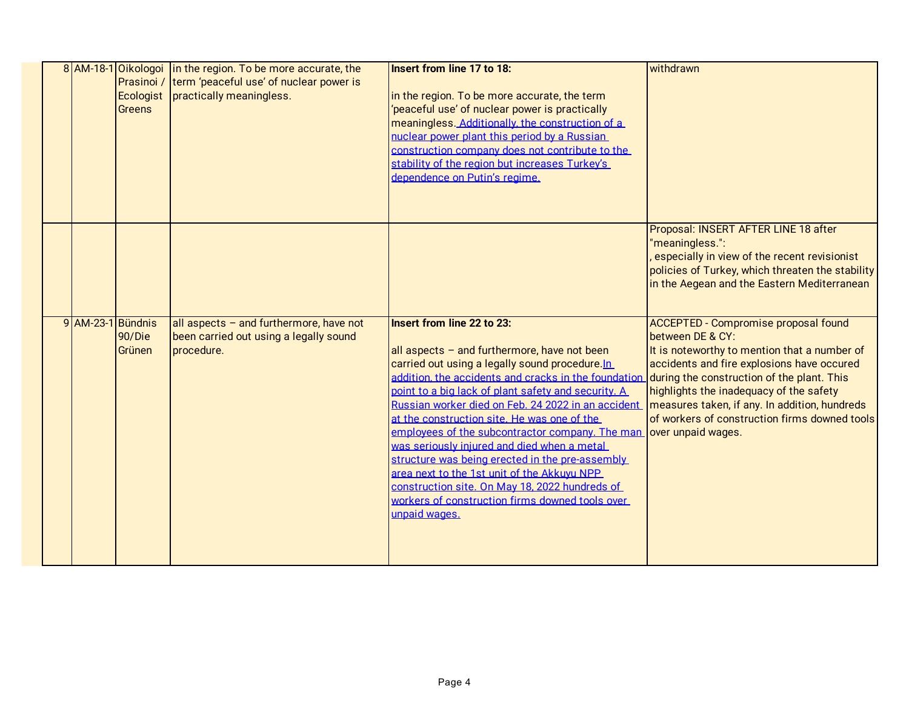|                   | Prasinoi /<br>Ecologist<br><b>Greens</b> | 8 AM-18-1 Oikologoi in the region. To be more accurate, the<br>term 'peaceful use' of nuclear power is<br>practically meaningless. | Insert from line 17 to 18:<br>in the region. To be more accurate, the term<br>'peaceful use' of nuclear power is practically<br>meaningless. Additionally, the construction of a                                                                                                                                                                                                                                                                                                                                                                                                                                                                                                  | withdrawn                                                                                                                                                                                                                                                                                                                                                                      |
|-------------------|------------------------------------------|------------------------------------------------------------------------------------------------------------------------------------|-----------------------------------------------------------------------------------------------------------------------------------------------------------------------------------------------------------------------------------------------------------------------------------------------------------------------------------------------------------------------------------------------------------------------------------------------------------------------------------------------------------------------------------------------------------------------------------------------------------------------------------------------------------------------------------|--------------------------------------------------------------------------------------------------------------------------------------------------------------------------------------------------------------------------------------------------------------------------------------------------------------------------------------------------------------------------------|
|                   |                                          |                                                                                                                                    | nuclear power plant this period by a Russian<br>construction company does not contribute to the<br>stability of the region but increases Turkey's<br>dependence on Putin's regime.                                                                                                                                                                                                                                                                                                                                                                                                                                                                                                |                                                                                                                                                                                                                                                                                                                                                                                |
|                   |                                          |                                                                                                                                    |                                                                                                                                                                                                                                                                                                                                                                                                                                                                                                                                                                                                                                                                                   | Proposal: INSERT AFTER LINE 18 after<br>"meaningless.":<br>especially in view of the recent revisionist<br>policies of Turkey, which threaten the stability<br>in the Aegean and the Eastern Mediterranean                                                                                                                                                                     |
| 9 AM-23-1 Bündnis | 90/Die<br>Grünen                         | all aspects - and furthermore, have not<br>been carried out using a legally sound<br>procedure.                                    | <b>Insert from line 22 to 23:</b><br>all aspects - and furthermore, have not been<br>carried out using a legally sound procedure.In<br>addition, the accidents and cracks in the foundation<br>point to a big lack of plant safety and security. A<br>Russian worker died on Feb. 24 2022 in an accident<br>at the construction site. He was one of the<br>employees of the subcontractor company. The man<br>was seriously injured and died when a metal<br>structure was being erected in the pre-assembly<br>area next to the 1st unit of the Akkuvu NPP<br>construction site. On May 18, 2022 hundreds of<br>workers of construction firms downed tools over<br>unpaid wages. | <b>ACCEPTED - Compromise proposal found</b><br>between DE & CY:<br>It is noteworthy to mention that a number of<br>accidents and fire explosions have occured<br>during the construction of the plant. This<br>highlights the inadequacy of the safety<br>measures taken, if any. In addition, hundreds<br>of workers of construction firms downed tools<br>over unpaid wages. |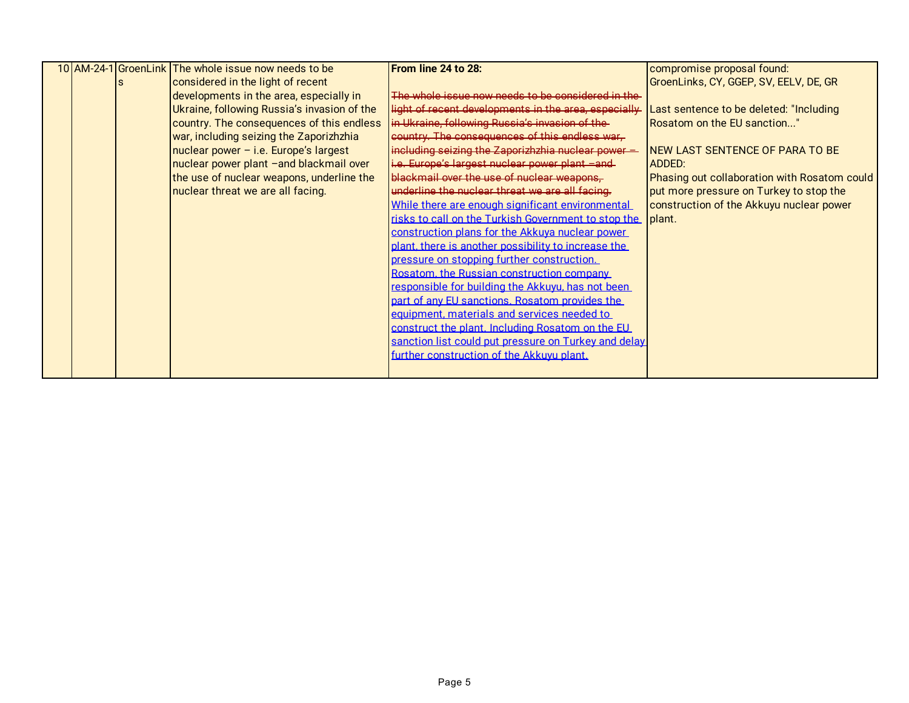|  | 10 AM-24-1 GroenLink The whole issue now needs to be | From line 24 to 28:                                        | compromise proposal found:                   |
|--|------------------------------------------------------|------------------------------------------------------------|----------------------------------------------|
|  | considered in the light of recent                    |                                                            | GroenLinks, CY, GGEP, SV, EELV, DE, GR       |
|  | developments in the area, especially in              | The whole issue now needs to be considered in the          |                                              |
|  | Ukraine, following Russia's invasion of the          | light of recent developments in the area, especially       | Last sentence to be deleted: "Including      |
|  | country. The consequences of this endless            | in Ukraine, following Russia's invasion of the-            | Rosatom on the EU sanction"                  |
|  | war, including seizing the Zaporizhzhia              | country. The consequences of this endless war-             |                                              |
|  | $nuclear power - i.e. Europe's largest$              | including seizing the Zaporizhzhia nuclear power =         | NEW LAST SENTENCE OF PARA TO BE              |
|  | nuclear power plant -and blackmail over              | i.e. Europe's largest nuclear power plant -and-            | <b>ADDED:</b>                                |
|  | the use of nuclear weapons, underline the            | blackmail over the use of nuclear weapons,                 | Phasing out collaboration with Rosatom could |
|  | nuclear threat we are all facing.                    | underline the nuclear threat we are all facing.            | put more pressure on Turkey to stop the      |
|  |                                                      | While there are enough significant environmental           | construction of the Akkuyu nuclear power     |
|  |                                                      | risks to call on the Turkish Government to stop the plant. |                                              |
|  |                                                      | construction plans for the Akkuva nuclear power            |                                              |
|  |                                                      | plant, there is another possibility to increase the        |                                              |
|  |                                                      | pressure on stopping further construction.                 |                                              |
|  |                                                      | Rosatom, the Russian construction company                  |                                              |
|  |                                                      | responsible for building the Akkuvu, has not been          |                                              |
|  |                                                      | part of any EU sanctions. Rosatom provides the             |                                              |
|  |                                                      | equipment, materials and services needed to                |                                              |
|  |                                                      | construct the plant. Including Rosatom on the EU           |                                              |
|  |                                                      | sanction list could put pressure on Turkey and delay       |                                              |
|  |                                                      | further construction of the Akkuvu plant.                  |                                              |
|  |                                                      |                                                            |                                              |
|  |                                                      |                                                            |                                              |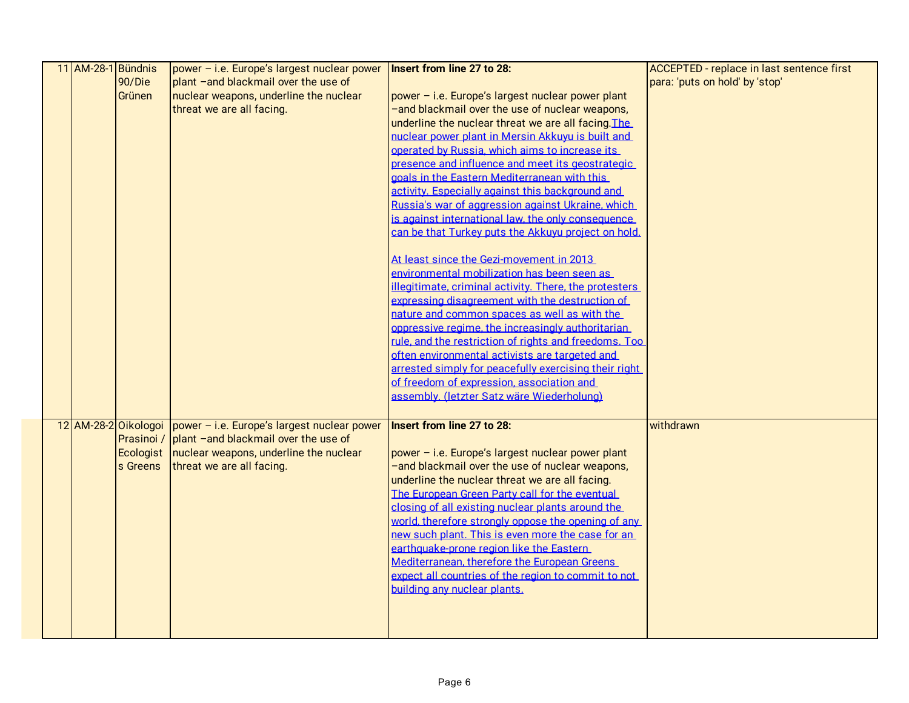| 11 AM-28-1 Bündnis |          | power - i.e. Europe's largest nuclear power                        | Insert from line 27 to 28:                             | ACCEPTED - replace in last sentence first |
|--------------------|----------|--------------------------------------------------------------------|--------------------------------------------------------|-------------------------------------------|
|                    | 90/Die   | plant -and blackmail over the use of                               |                                                        | para: 'puts on hold' by 'stop'            |
|                    | Grünen   | nuclear weapons, underline the nuclear                             | power - i.e. Europe's largest nuclear power plant      |                                           |
|                    |          | threat we are all facing.                                          | -and blackmail over the use of nuclear weapons,        |                                           |
|                    |          |                                                                    | underline the nuclear threat we are all facing. The    |                                           |
|                    |          |                                                                    | nuclear power plant in Mersin Akkuvu is built and      |                                           |
|                    |          |                                                                    | operated by Russia. which aims to increase its         |                                           |
|                    |          |                                                                    | presence and influence and meet its geostrategic       |                                           |
|                    |          |                                                                    | goals in the Eastern Mediterranean with this           |                                           |
|                    |          |                                                                    | activity. Especially against this background and       |                                           |
|                    |          |                                                                    | Russia's war of aggression against Ukraine, which      |                                           |
|                    |          |                                                                    | is against international law, the only consequence     |                                           |
|                    |          |                                                                    | can be that Turkey puts the Akkuvu project on hold.    |                                           |
|                    |          |                                                                    |                                                        |                                           |
|                    |          |                                                                    | At least since the Gezi-movement in 2013               |                                           |
|                    |          |                                                                    | environmental mobilization has been seen as            |                                           |
|                    |          |                                                                    | illegitimate, criminal activity. There, the protesters |                                           |
|                    |          |                                                                    | expressing disagreement with the destruction of        |                                           |
|                    |          |                                                                    | nature and common spaces as well as with the           |                                           |
|                    |          |                                                                    | oppressive regime, the increasingly authoritarian      |                                           |
|                    |          |                                                                    | rule, and the restriction of rights and freedoms. Too  |                                           |
|                    |          |                                                                    | often environmental activists are targeted and         |                                           |
|                    |          |                                                                    | arrested simply for peacefully exercising their right  |                                           |
|                    |          |                                                                    | of freedom of expression, association and              |                                           |
|                    |          |                                                                    | assembly. (letzter Satz wäre Wiederholung)             |                                           |
|                    |          | 12 AM-28-2 Oikologoi   power - i.e. Europe's largest nuclear power | Insert from line 27 to 28:                             | withdrawn                                 |
|                    |          | Prasinoi / plant -and blackmail over the use of                    |                                                        |                                           |
|                    |          | Ecologist   nuclear weapons, underline the nuclear                 | power - i.e. Europe's largest nuclear power plant      |                                           |
|                    | s Greens | threat we are all facing.                                          | -and blackmail over the use of nuclear weapons,        |                                           |
|                    |          |                                                                    | underline the nuclear threat we are all facing.        |                                           |
|                    |          |                                                                    | The European Green Party call for the eventual         |                                           |
|                    |          |                                                                    | closing of all existing nuclear plants around the      |                                           |
|                    |          |                                                                    | world, therefore strongly oppose the opening of any    |                                           |
|                    |          |                                                                    | new such plant. This is even more the case for an      |                                           |
|                    |          |                                                                    | earthquake-prone region like the Eastern               |                                           |
|                    |          |                                                                    | Mediterranean, therefore the European Greens           |                                           |
|                    |          |                                                                    | expect all countries of the region to commit to not    |                                           |
|                    |          |                                                                    | building any nuclear plants.                           |                                           |
|                    |          |                                                                    |                                                        |                                           |
|                    |          |                                                                    |                                                        |                                           |
|                    |          |                                                                    |                                                        |                                           |